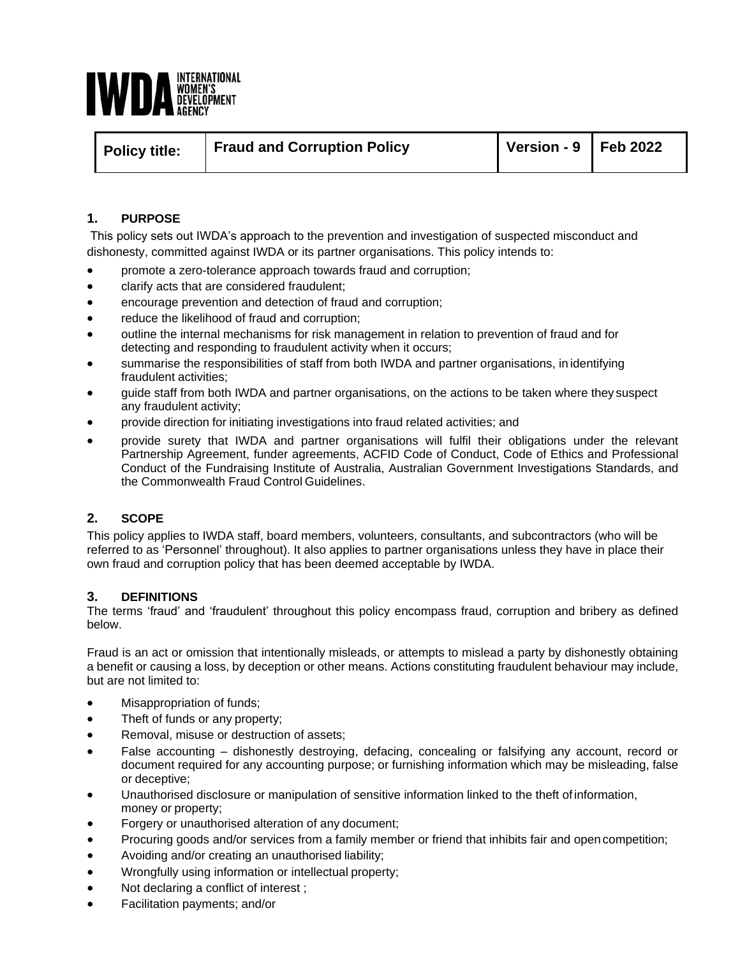

| Policy title: | <b>Fraud and Corruption Policy</b> | Version - $9 \mid$ Feb 2022 |  |
|---------------|------------------------------------|-----------------------------|--|
|               |                                    |                             |  |

## **1. PURPOSE**

This policy sets out IWDA's approach to the prevention and investigation of suspected misconduct and dishonesty, committed against IWDA or its partner organisations. This policy intends to:

- promote a zero-tolerance approach towards fraud and corruption;
- clarify acts that are considered fraudulent;
- encourage prevention and detection of fraud and corruption;
- reduce the likelihood of fraud and corruption;
- outline the internal mechanisms for risk management in relation to prevention of fraud and for detecting and responding to fraudulent activity when it occurs;
- summarise the responsibilities of staff from both IWDA and partner organisations, in identifying fraudulent activities;
- guide staff from both IWDA and partner organisations, on the actions to be taken where they suspect any fraudulent activity;
- provide direction for initiating investigations into fraud related activities; and
- provide surety that IWDA and partner organisations will fulfil their obligations under the relevant Partnership Agreement, funder agreements, ACFID Code of Conduct, [Code of Ethics and Professional](http://www.fia.org.au/data/documents/Resources/Principles__Standards/Code_of_Ethics_and_Professional_Conduct_Web01_June_11.pdf) [Conduct of the Fundraising Institute of Australia, A](http://www.fia.org.au/data/documents/Resources/Principles__Standards/Code_of_Ethics_and_Professional_Conduct_Web01_June_11.pdf)ustralian Government Investigations Standards, and the Commonwealth Fraud Control Guidelines.

### **2. SCOPE**

This policy applies to IWDA staff, board members, volunteers, consultants, and subcontractors (who will be referred to as 'Personnel' throughout). It also applies to partner organisations unless they have in place their own fraud and corruption policy that has been deemed acceptable by IWDA.

#### **3. DEFINITIONS**

The terms 'fraud' and 'fraudulent' throughout this policy encompass fraud, corruption and bribery as defined below.

Fraud is an act or omission that intentionally misleads, or attempts to mislead a party by dishonestly obtaining a benefit or causing a loss, by deception or other means. Actions constituting fraudulent behaviour may include, but are not limited to:

- Misappropriation of funds;
- Theft of funds or any property;
- Removal, misuse or destruction of assets;
- False accounting dishonestly destroying, defacing, concealing or falsifying any account, record or document required for any accounting purpose; or furnishing information which may be misleading, false or deceptive;
- Unauthorised disclosure or manipulation of sensitive information linked to the theft of information, money or property;
- Forgery or unauthorised alteration of any document;
- Procuring goods and/or services from a family member or friend that inhibits fair and open competition;
- Avoiding and/or creating an unauthorised liability;
- Wrongfully using information or intellectual property;
- Not declaring a conflict of interest;
- Facilitation payments; and/or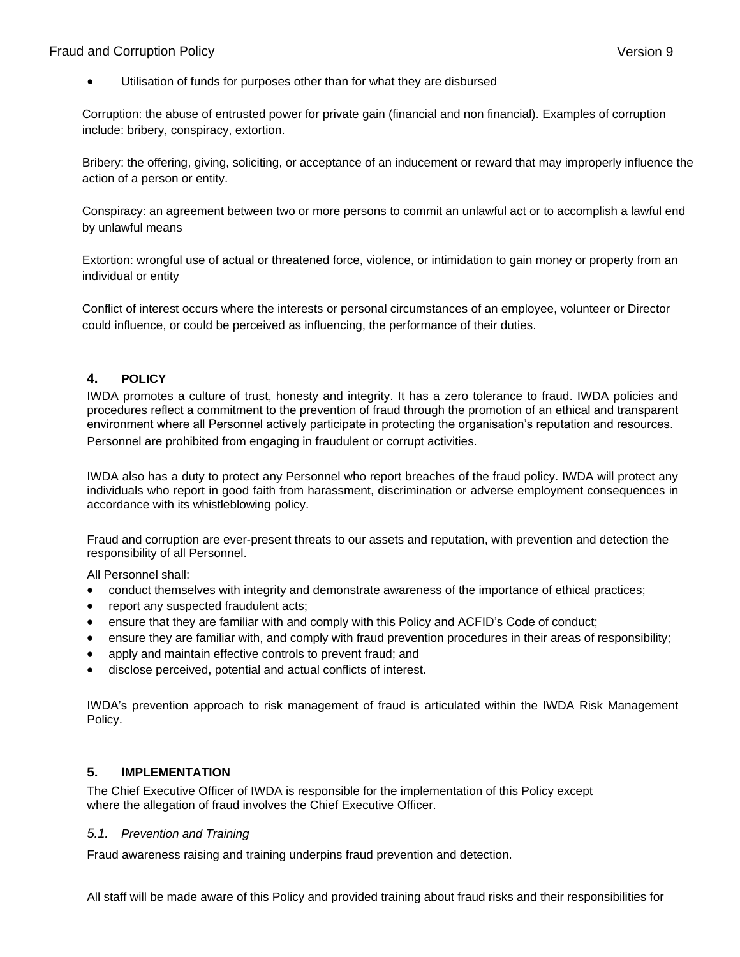# Fraud and Corruption Policy Version 9

Utilisation of funds for purposes other than for what they are disbursed

Corruption: the abuse of entrusted power for private gain (financial and non financial). Examples of corruption include: bribery, conspiracy, extortion.

Bribery: the offering, giving, soliciting, or acceptance of an inducement or reward that may improperly influence the action of a person or entity.

Conspiracy: an agreement between two or more persons to commit an unlawful act or to accomplish a lawful end by unlawful means

Extortion: wrongful use of actual or threatened force, violence, or intimidation to gain money or property from an individual or entity

Conflict of interest occurs where the interests or personal circumstances of an employee, volunteer or Director could influence, or could be perceived as influencing, the performance of their duties.

## **4. POLICY**

IWDA promotes a culture of trust, honesty and integrity. It has a zero tolerance to fraud. IWDA policies and procedures reflect a commitment to the prevention of fraud through the promotion of an ethical and transparent environment where all Personnel actively participate in protecting the organisation's reputation and resources. Personnel are prohibited from engaging in fraudulent or corrupt activities.

IWDA also has a duty to protect any Personnel who report breaches of the fraud policy. IWDA will protect any individuals who report in good faith from harassment, discrimination or adverse employment consequences in accordance with its whistleblowing policy.

Fraud and corruption are ever-present threats to our assets and reputation, with prevention and detection the responsibility of all Personnel.

All Personnel shall:

- conduct themselves with integrity and demonstrate awareness of the importance of ethical practices;
- report any suspected fraudulent acts;
- ensure that they are familiar with and comply with this Policy and ACFID's Code of conduct;
- ensure they are familiar with, and comply with fraud prevention procedures in their areas of responsibility;
- apply and maintain effective controls to prevent fraud; and
- disclose perceived, potential and actual conflicts of interest.

IWDA's prevention approach to risk management of fraud is articulated within the IWDA Risk Management Policy.

### **5. IMPLEMENTATION**

The Chief Executive Officer of IWDA is responsible for the implementation of this Policy except where the allegation of fraud involves the Chief Executive Officer.

#### *5.1. Prevention and Training*

Fraud awareness raising and training underpins fraud prevention and detection.

All staff will be made aware of this Policy and provided training about fraud risks and their responsibilities for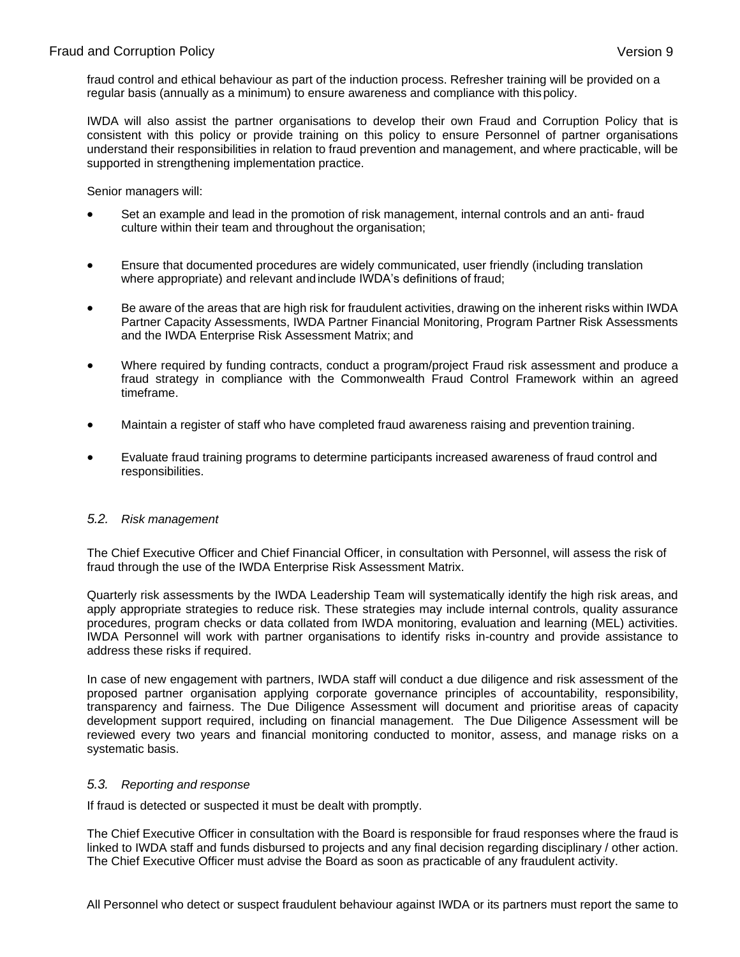fraud control and ethical behaviour as part of the induction process. Refresher training will be provided on a regular basis (annually as a minimum) to ensure awareness and compliance with thispolicy.

IWDA will also assist the partner organisations to develop their own Fraud and Corruption Policy that is consistent with this policy or provide training on this policy to ensure Personnel of partner organisations understand their responsibilities in relation to fraud prevention and management, and where practicable, will be supported in strengthening implementation practice.

Senior managers will:

- Set an example and lead in the promotion of risk management, internal controls and an anti- fraud culture within their team and throughout the organisation;
- Ensure that documented procedures are widely communicated, user friendly (including translation where appropriate) and relevant andinclude IWDA's definitions of fraud;
- Be aware of the areas that are high risk for fraudulent activities, drawing on the inherent risks within IWDA Partner Capacity Assessments, IWDA Partner Financial Monitoring, Program Partner Risk Assessments and the IWDA Enterprise Risk Assessment Matrix; and
- Where required by funding contracts, conduct a program/project Fraud risk assessment and produce a fraud strategy in compliance with the Commonwealth Fraud Control Framework within an agreed timeframe.
- Maintain a register of staff who have completed fraud awareness raising and prevention training.
- Evaluate fraud training programs to determine participants increased awareness of fraud control and responsibilities.

### *5.2. Risk management*

The Chief Executive Officer and Chief Financial Officer, in consultation with Personnel, will assess the risk of fraud through the use of the IWDA Enterprise Risk Assessment Matrix.

Quarterly risk assessments by the IWDA Leadership Team will systematically identify the high risk areas, and apply appropriate strategies to reduce risk. These strategies may include internal controls, quality assurance procedures, program checks or data collated from IWDA monitoring, evaluation and learning (MEL) activities. IWDA Personnel will work with partner organisations to identify risks in-country and provide assistance to address these risks if required.

In case of new engagement with partners, IWDA staff will conduct a due diligence and risk assessment of the proposed partner organisation applying corporate governance principles of accountability, responsibility, transparency and fairness. The Due Diligence Assessment will document and prioritise areas of capacity development support required, including on financial management. The Due Diligence Assessment will be reviewed every two years and financial monitoring conducted to monitor, assess, and manage risks on a systematic basis.

### *5.3. Reporting and response*

If fraud is detected or suspected it must be dealt with promptly.

The Chief Executive Officer in consultation with the Board is responsible for fraud responses where the fraud is linked to IWDA staff and funds disbursed to projects and any final decision regarding disciplinary / other action. The Chief Executive Officer must advise the Board as soon as practicable of any fraudulent activity.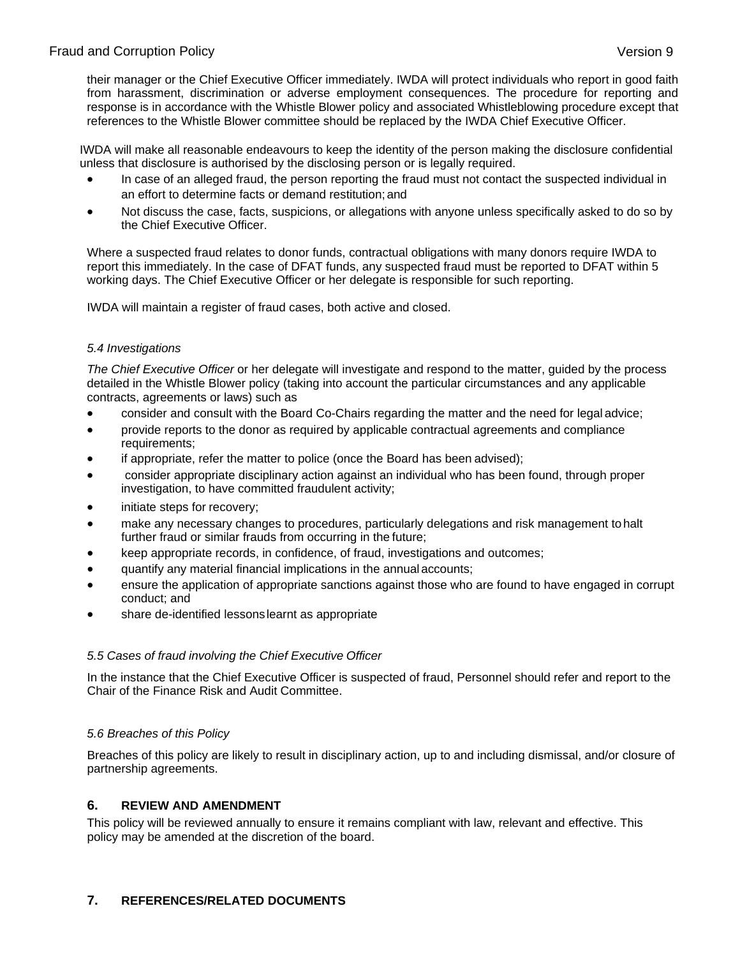their manager or the Chief Executive Officer immediately. IWDA will protect individuals who report in good faith from harassment, discrimination or adverse employment consequences. The procedure for reporting and response is in accordance with the Whistle Blower policy and associated Whistleblowing procedure except that references to the Whistle Blower committee should be replaced by the IWDA Chief Executive Officer.

IWDA will make all reasonable endeavours to keep the identity of the person making the disclosure confidential unless that disclosure is authorised by the disclosing person or is legally required.

- In case of an alleged fraud, the person reporting the fraud must not contact the suspected individual in an effort to determine facts or demand restitution; and
- Not discuss the case, facts, suspicions, or allegations with anyone unless specifically asked to do so by the Chief Executive Officer.

Where a suspected fraud relates to donor funds, contractual obligations with many donors require IWDA to report this immediately. In the case of DFAT funds, any suspected fraud must be reported to DFAT within 5 working days. The Chief Executive Officer or her delegate is responsible for such reporting.

IWDA will maintain a register of fraud cases, both active and closed.

### *5.4 Investigations*

*The Chief Executive Officer* or her delegate will investigate and respond to the matter, guided by the process detailed in the Whistle Blower policy (taking into account the particular circumstances and any applicable contracts, agreements or laws) such as

- consider and consult with the Board Co-Chairs regarding the matter and the need for legal advice;
- provide reports to the donor as required by applicable contractual agreements and compliance requirements;
- if appropriate, refer the matter to police (once the Board has been advised);
- consider appropriate disciplinary action against an individual who has been found, through proper investigation, to have committed fraudulent activity;
- initiate steps for recovery;
- make any necessary changes to procedures, particularly delegations and risk management tohalt further fraud or similar frauds from occurring in the future;
- keep appropriate records, in confidence, of fraud, investigations and outcomes;
- quantify any material financial implications in the annual accounts;
- ensure the application of appropriate sanctions against those who are found to have engaged in corrupt conduct; and
- share de-identified lessonslearnt as appropriate

### *5.5 Cases of fraud involving the Chief Executive Officer*

In the instance that the Chief Executive Officer is suspected of fraud, Personnel should refer and report to the Chair of the Finance Risk and Audit Committee.

### *5.6 Breaches of this Policy*

Breaches of this policy are likely to result in disciplinary action, up to and including dismissal, and/or closure of partnership agreements.

### **6. REVIEW AND AMENDMENT**

This policy will be reviewed annually to ensure it remains compliant with law, relevant and effective. This policy may be amended at the discretion of the board.

# **7. REFERENCES/RELATED DOCUMENTS**